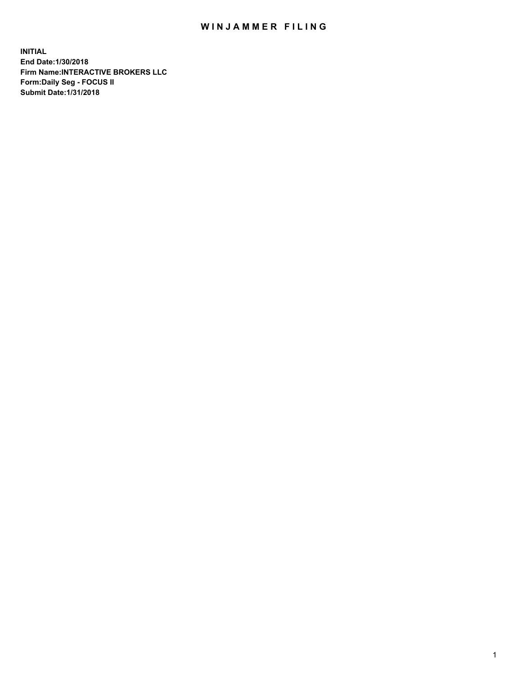## WIN JAMMER FILING

**INITIAL End Date:1/30/2018 Firm Name:INTERACTIVE BROKERS LLC Form:Daily Seg - FOCUS II Submit Date:1/31/2018**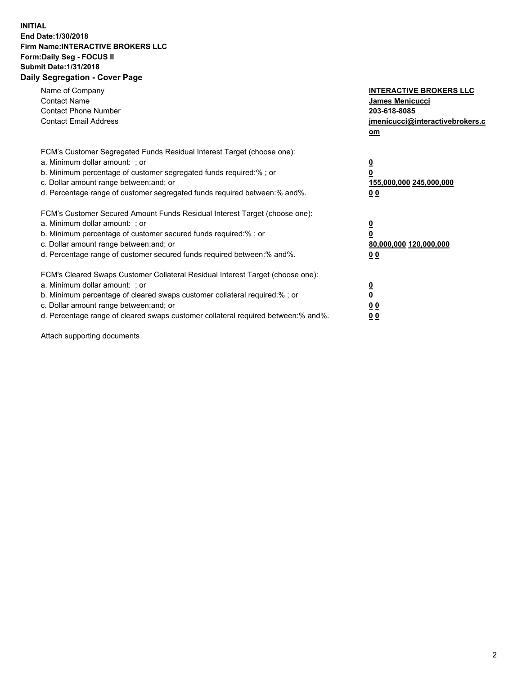## **INITIAL End Date:1/30/2018 Firm Name:INTERACTIVE BROKERS LLC Form:Daily Seg - FOCUS II Submit Date:1/31/2018 Daily Segregation - Cover Page**

| Name of Company<br><b>Contact Name</b><br><b>Contact Phone Number</b><br><b>Contact Email Address</b>                                                                                                                                                                                                                          | <b>INTERACTIVE BROKERS LLC</b><br><b>James Menicucci</b><br>203-618-8085<br>jmenicucci@interactivebrokers.c<br>om |
|--------------------------------------------------------------------------------------------------------------------------------------------------------------------------------------------------------------------------------------------------------------------------------------------------------------------------------|-------------------------------------------------------------------------------------------------------------------|
| FCM's Customer Segregated Funds Residual Interest Target (choose one):<br>a. Minimum dollar amount: ; or<br>b. Minimum percentage of customer segregated funds required:% ; or<br>c. Dollar amount range between: and; or<br>d. Percentage range of customer segregated funds required between: % and %.                       | $\overline{\mathbf{0}}$<br>0<br>155,000,000 245,000,000<br>00                                                     |
| FCM's Customer Secured Amount Funds Residual Interest Target (choose one):<br>a. Minimum dollar amount: ; or<br>b. Minimum percentage of customer secured funds required:%; or<br>c. Dollar amount range between: and; or<br>d. Percentage range of customer secured funds required between: % and %.                          | $\overline{\mathbf{0}}$<br>0<br>80,000,000 120,000,000<br>00                                                      |
| FCM's Cleared Swaps Customer Collateral Residual Interest Target (choose one):<br>a. Minimum dollar amount: ; or<br>b. Minimum percentage of cleared swaps customer collateral required:% ; or<br>c. Dollar amount range between: and; or<br>d. Percentage range of cleared swaps customer collateral required between:% and%. | $\overline{\mathbf{0}}$<br>$\overline{\mathbf{0}}$<br>00<br>0 <sub>0</sub>                                        |

Attach supporting documents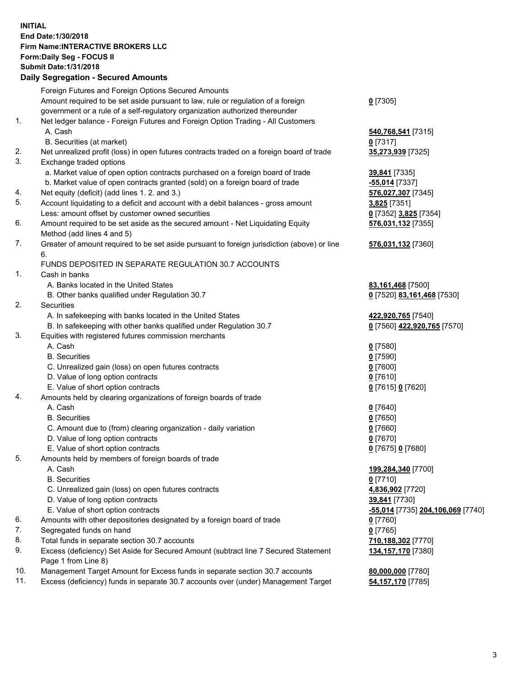## **INITIAL End Date:1/30/2018 Firm Name:INTERACTIVE BROKERS LLC Form:Daily Seg - FOCUS II Submit Date:1/31/2018 Daily Segregation - Secured Amounts**

|                | Daily Jegregation - Jeculed Aniounts                                                                       |                                   |
|----------------|------------------------------------------------------------------------------------------------------------|-----------------------------------|
|                | Foreign Futures and Foreign Options Secured Amounts                                                        |                                   |
|                | Amount required to be set aside pursuant to law, rule or regulation of a foreign                           | $0$ [7305]                        |
|                | government or a rule of a self-regulatory organization authorized thereunder                               |                                   |
| 1.             | Net ledger balance - Foreign Futures and Foreign Option Trading - All Customers                            |                                   |
|                | A. Cash                                                                                                    | 540,768,541 [7315]                |
|                | B. Securities (at market)                                                                                  | $0$ [7317]                        |
| 2.             | Net unrealized profit (loss) in open futures contracts traded on a foreign board of trade                  | 35,273,939 [7325]                 |
| 3.             | Exchange traded options                                                                                    |                                   |
|                | a. Market value of open option contracts purchased on a foreign board of trade                             | 39,841 [7335]                     |
|                | b. Market value of open contracts granted (sold) on a foreign board of trade                               | -55,014 [7337]                    |
| 4.             | Net equity (deficit) (add lines 1.2. and 3.)                                                               | 576,027,307 [7345]                |
| 5.             | Account liquidating to a deficit and account with a debit balances - gross amount                          | 3,825 [7351]                      |
|                | Less: amount offset by customer owned securities                                                           | 0 [7352] 3,825 [7354]             |
| 6.             | Amount required to be set aside as the secured amount - Net Liquidating Equity                             | 576,031,132 [7355]                |
|                | Method (add lines 4 and 5)                                                                                 |                                   |
| 7.             | Greater of amount required to be set aside pursuant to foreign jurisdiction (above) or line                | 576,031,132 [7360]                |
|                | 6.                                                                                                         |                                   |
|                | FUNDS DEPOSITED IN SEPARATE REGULATION 30.7 ACCOUNTS                                                       |                                   |
| $\mathbf{1}$ . | Cash in banks                                                                                              |                                   |
|                | A. Banks located in the United States                                                                      | 83,161,468 [7500]                 |
|                | B. Other banks qualified under Regulation 30.7                                                             | 0 [7520] 83,161,468 [7530]        |
| 2.             | Securities                                                                                                 |                                   |
|                | A. In safekeeping with banks located in the United States                                                  | 422,920,765 [7540]                |
|                | B. In safekeeping with other banks qualified under Regulation 30.7                                         | 0 [7560] 422,920,765 [7570]       |
| 3.             | Equities with registered futures commission merchants                                                      |                                   |
|                | A. Cash                                                                                                    | $0$ [7580]                        |
|                | <b>B.</b> Securities                                                                                       | $0$ [7590]                        |
|                | C. Unrealized gain (loss) on open futures contracts                                                        | $0$ [7600]                        |
|                | D. Value of long option contracts                                                                          | $0$ [7610]                        |
|                | E. Value of short option contracts                                                                         | 0 [7615] 0 [7620]                 |
| 4.             | Amounts held by clearing organizations of foreign boards of trade                                          |                                   |
|                | A. Cash                                                                                                    | $0$ [7640]                        |
|                | <b>B.</b> Securities                                                                                       | $0$ [7650]                        |
|                | C. Amount due to (from) clearing organization - daily variation                                            | $0$ [7660]                        |
|                | D. Value of long option contracts                                                                          | $0$ [7670]                        |
|                | E. Value of short option contracts                                                                         | 0 [7675] 0 [7680]                 |
| 5.             | Amounts held by members of foreign boards of trade                                                         |                                   |
|                | A. Cash                                                                                                    | 199,284,340 [7700]                |
|                | <b>B.</b> Securities                                                                                       | $0$ [7710]                        |
|                | C. Unrealized gain (loss) on open futures contracts                                                        | 4,836,902 [7720]                  |
|                | D. Value of long option contracts                                                                          | 39,841 [7730]                     |
|                | E. Value of short option contracts                                                                         | -55,014 [7735] 204,106,069 [7740] |
| 6.             | Amounts with other depositories designated by a foreign board of trade                                     | 0 [7760]                          |
| 7.             | Segregated funds on hand                                                                                   | $0$ [7765]                        |
| 8.             | Total funds in separate section 30.7 accounts                                                              | 710,188,302 [7770]                |
| 9.             | Excess (deficiency) Set Aside for Secured Amount (subtract line 7 Secured Statement<br>Page 1 from Line 8) | 134, 157, 170 [7380]              |
| 10.            | Management Target Amount for Excess funds in separate section 30.7 accounts                                | 80,000,000 [7780]                 |
| 11.            | Excess (deficiency) funds in separate 30.7 accounts over (under) Management Target                         | 54,157,170 [7785]                 |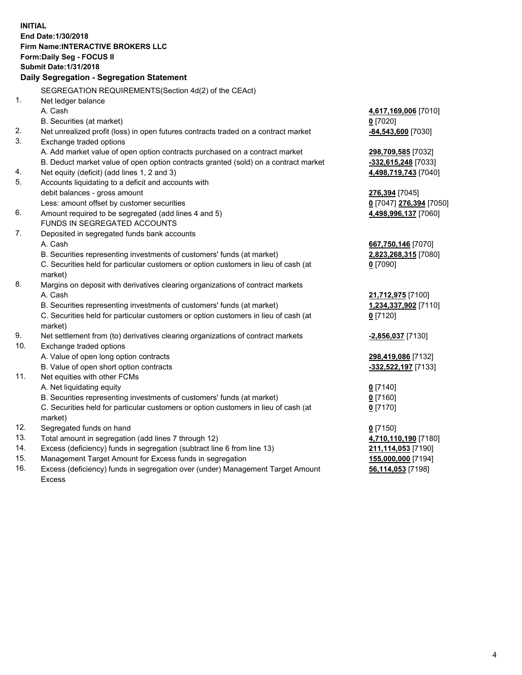**INITIAL End Date:1/30/2018 Firm Name:INTERACTIVE BROKERS LLC Form:Daily Seg - FOCUS II Submit Date:1/31/2018 Daily Segregation - Segregation Statement** SEGREGATION REQUIREMENTS(Section 4d(2) of the CEAct) 1. Net ledger balance A. Cash **4,617,169,006** [7010] B. Securities (at market) **0** [7020] 2. Net unrealized profit (loss) in open futures contracts traded on a contract market **-84,543,600** [7030] 3. Exchange traded options A. Add market value of open option contracts purchased on a contract market **298,709,585** [7032] B. Deduct market value of open option contracts granted (sold) on a contract market **-332,615,248** [7033] 4. Net equity (deficit) (add lines 1, 2 and 3) **4,498,719,743** [7040] 5. Accounts liquidating to a deficit and accounts with debit balances - gross amount **276,394** [7045] Less: amount offset by customer securities **0** [7047] **276,394** [7050] 6. Amount required to be segregated (add lines 4 and 5) **4,498,996,137** [7060] FUNDS IN SEGREGATED ACCOUNTS 7. Deposited in segregated funds bank accounts A. Cash **667,750,146** [7070] B. Securities representing investments of customers' funds (at market) **2,823,268,315** [7080] C. Securities held for particular customers or option customers in lieu of cash (at market) **0** [7090] 8. Margins on deposit with derivatives clearing organizations of contract markets A. Cash **21,712,975** [7100] B. Securities representing investments of customers' funds (at market) **1,234,337,902** [7110] C. Securities held for particular customers or option customers in lieu of cash (at market) **0** [7120] 9. Net settlement from (to) derivatives clearing organizations of contract markets **-2,856,037** [7130] 10. Exchange traded options A. Value of open long option contracts **298,419,086** [7132] B. Value of open short option contracts **-332,522,197** [7133] 11. Net equities with other FCMs A. Net liquidating equity **0** [7140] B. Securities representing investments of customers' funds (at market) **0** [7160] C. Securities held for particular customers or option customers in lieu of cash (at market) **0** [7170] 12. Segregated funds on hand **0** [7150] 13. Total amount in segregation (add lines 7 through 12) **4,710,110,190** [7180] 14. Excess (deficiency) funds in segregation (subtract line 6 from line 13) **211,114,053** [7190] 15. Management Target Amount for Excess funds in segregation **155,000,000** [7194] **56,114,053** [7198]

16. Excess (deficiency) funds in segregation over (under) Management Target Amount Excess